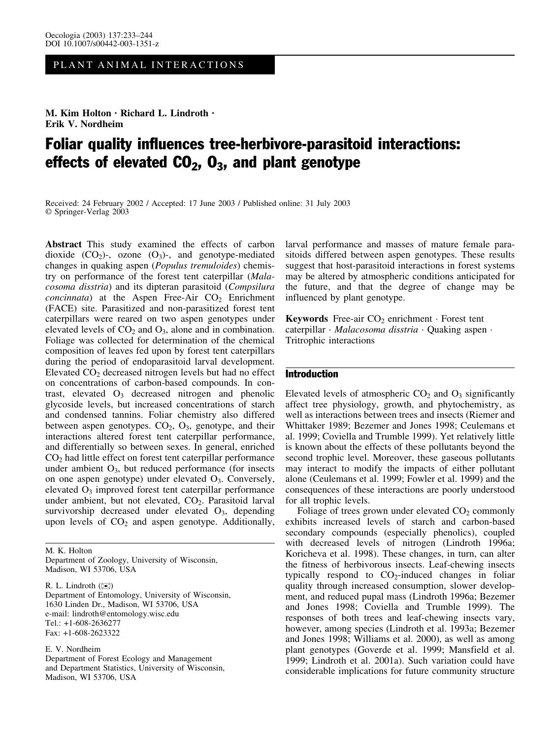PLANT ANIMAL INTERACTIONS

M. Kim Holton · Richard L. Lindroth · Erik V. Nordheim

# Foliar quality influences tree-herbivore-parasitoid interactions: effects of elevated  $CO<sub>2</sub>$ ,  $O<sub>3</sub>$ , and plant genotype

Received: 24 February 2002 / Accepted: 17 June 2003 / Published online: 31 July 2003 Springer-Verlag 2003

Abstract This study examined the effects of carbon dioxide  $(CO_2)$ -, ozone  $(O_3)$ -, and genotype-mediated changes in quaking aspen (Populus tremuloides) chemistry on performance of the forest tent caterpillar (Malacosoma disstria) and its dipteran parasitoid (Compsilura *concinnata*) at the Aspen Free-Air  $CO<sub>2</sub>$  Enrichment (FACE) site. Parasitized and non-parasitized forest tent caterpillars were reared on two aspen genotypes under elevated levels of  $CO<sub>2</sub>$  and  $O<sub>3</sub>$ , alone and in combination. Foliage was collected for determination of the chemical composition of leaves fed upon by forest tent caterpillars during the period of endoparasitoid larval development. Elevated  $CO<sub>2</sub>$  decreased nitrogen levels but had no effect on concentrations of carbon-based compounds. In contrast, elevated  $O_3$  decreased nitrogen and phenolic glycoside levels, but increased concentrations of starch and condensed tannins. Foliar chemistry also differed between aspen genotypes.  $CO<sub>2</sub>$ ,  $O<sub>3</sub>$ , genotype, and their interactions altered forest tent caterpillar performance, and differentially so between sexes. In general, enriched CO2 had little effect on forest tent caterpillar performance under ambient  $O<sub>3</sub>$ , but reduced performance (for insects on one aspen genotype) under elevated  $O_3$ . Conversely, elevated  $O_3$  improved forest tent caterpillar performance under ambient, but not elevated,  $CO<sub>2</sub>$ . Parasitoid larval survivorship decreased under elevated  $O_3$ , depending upon levels of  $CO<sub>2</sub>$  and aspen genotype. Additionally,

M. K. Holton Department of Zoology, University of Wisconsin, Madison, WI 53706, USA

R. L. Lindroth  $(\mathbb{R})$ Department of Entomology, University of Wisconsin, 1630 Linden Dr., Madison, WI 53706, USA e-mail: lindroth@entomology.wisc.edu Tel.: +1-608-2636277 Fax: +1-608-2623322

E. V. Nordheim

Department of Forest Ecology and Management and Department Statistics, University of Wisconsin, Madison, WI 53706, USA

larval performance and masses of mature female parasitoids differed between aspen genotypes. These results suggest that host-parasitoid interactions in forest systems may be altered by atmospheric conditions anticipated for the future, and that the degree of change may be influenced by plant genotype.

Keywords Free-air  $CO<sub>2</sub>$  enrichment  $\cdot$  Forest tent caterpillar · Malacosoma disstria · Quaking aspen · Tritrophic interactions

#### Introduction

Elevated levels of atmospheric  $CO<sub>2</sub>$  and  $O<sub>3</sub>$  significantly affect tree physiology, growth, and phytochemistry, as well as interactions between trees and insects (Riemer and Whittaker 1989; Bezemer and Jones 1998; Ceulemans et al. 1999; Coviella and Trumble 1999). Yet relatively little is known about the effects of these pollutants beyond the second trophic level. Moreover, these gaseous pollutants may interact to modify the impacts of either pollutant alone (Ceulemans et al. 1999; Fowler et al. 1999) and the consequences of these interactions are poorly understood for all trophic levels.

Foliage of trees grown under elevated  $CO<sub>2</sub>$  commonly exhibits increased levels of starch and carbon-based secondary compounds (especially phenolics), coupled with decreased levels of nitrogen (Lindroth 1996a; Koricheva et al. 1998). These changes, in turn, can alter the fitness of herbivorous insects. Leaf-chewing insects typically respond to  $CO<sub>2</sub>$ -induced changes in foliar quality through increased consumption, slower development, and reduced pupal mass (Lindroth 1996a; Bezemer and Jones 1998; Coviella and Trumble 1999). The responses of both trees and leaf-chewing insects vary, however, among species (Lindroth et al. 1993a; Bezemer and Jones 1998; Williams et al. 2000), as well as among plant genotypes (Goverde et al. 1999; Mansfield et al. 1999; Lindroth et al. 2001a). Such variation could have considerable implications for future community structure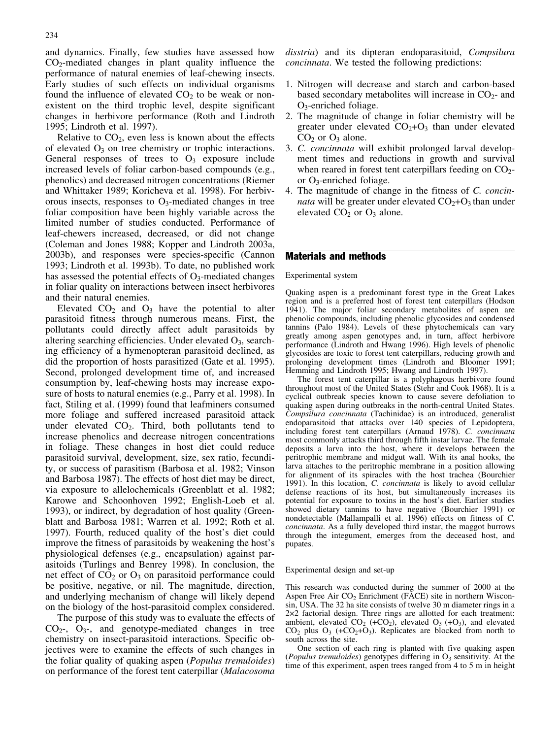and dynamics. Finally, few studies have assessed how  $CO<sub>2</sub>$ -mediated changes in plant quality influence the performance of natural enemies of leaf-chewing insects. Early studies of such effects on individual organisms found the influence of elevated  $CO<sub>2</sub>$  to be weak or nonexistent on the third trophic level, despite significant changes in herbivore performance (Roth and Lindroth 1995; Lindroth et al. 1997).

Relative to  $CO<sub>2</sub>$ , even less is known about the effects of elevated  $O_3$  on tree chemistry or trophic interactions. General responses of trees to  $O_3$  exposure include increased levels of foliar carbon-based compounds (e.g., phenolics) and decreased nitrogen concentrations (Riemer and Whittaker 1989; Koricheva et al. 1998). For herbivorous insects, responses to  $O_3$ -mediated changes in tree foliar composition have been highly variable across the limited number of studies conducted. Performance of leaf-chewers increased, decreased, or did not change (Coleman and Jones 1988; Kopper and Lindroth 2003a, 2003b), and responses were species-specific (Cannon 1993; Lindroth et al. 1993b). To date, no published work has assessed the potential effects of  $O_3$ -mediated changes in foliar quality on interactions between insect herbivores and their natural enemies.

Elevated  $CO<sub>2</sub>$  and  $O<sub>3</sub>$  have the potential to alter parasitoid fitness through numerous means. First, the pollutants could directly affect adult parasitoids by altering searching efficiencies. Under elevated  $O_3$ , searching efficiency of a hymenopteran parasitoid declined, as did the proportion of hosts parasitized (Gate et al. 1995). Second, prolonged development time of, and increased consumption by, leaf-chewing hosts may increase exposure of hosts to natural enemies (e.g., Parry et al. 1998). In fact, Stiling et al. (1999) found that leafminers consumed more foliage and suffered increased parasitoid attack under elevated  $CO<sub>2</sub>$ . Third, both pollutants tend to increase phenolics and decrease nitrogen concentrations in foliage. These changes in host diet could reduce parasitoid survival, development, size, sex ratio, fecundity, or success of parasitism (Barbosa et al. 1982; Vinson and Barbosa 1987). The effects of host diet may be direct, via exposure to allelochemicals (Greenblatt et al. 1982; Karowe and Schoonhoven 1992; English-Loeb et al. 1993), or indirect, by degradation of host quality (Greenblatt and Barbosa 1981; Warren et al. 1992; Roth et al. 1997). Fourth, reduced quality of the host's diet could improve the fitness of parasitoids by weakening the host's physiological defenses (e.g., encapsulation) against parasitoids (Turlings and Benrey 1998). In conclusion, the net effect of  $CO<sub>2</sub>$  or  $O<sub>3</sub>$  on parasitoid performance could be positive, negative, or nil. The magnitude, direction, and underlying mechanism of change will likely depend on the biology of the host-parasitoid complex considered.

The purpose of this study was to evaluate the effects of  $CO<sub>2</sub>$ ,  $O<sub>3</sub>$ , and genotype-mediated changes in tree chemistry on insect-parasitoid interactions. Specific objectives were to examine the effects of such changes in the foliar quality of quaking aspen (Populus tremuloides) on performance of the forest tent caterpillar (Malacosoma

disstria) and its dipteran endoparasitoid, Compsilura concinnata. We tested the following predictions:

- 1. Nitrogen will decrease and starch and carbon-based based secondary metabolites will increase in  $CO<sub>2</sub>$ - and O3-enriched foliage.
- 2. The magnitude of change in foliar chemistry will be greater under elevated  $CO<sub>2</sub>+O<sub>3</sub>$  than under elevated  $CO<sub>2</sub>$  or  $O<sub>3</sub>$  alone.
- 3. C. concinnata will exhibit prolonged larval development times and reductions in growth and survival when reared in forest tent caterpillars feeding on  $CO<sub>2</sub>$ or  $O_3$ -enriched foliage.
- 4. The magnitude of change in the fitness of C. concin*nata* will be greater under elevated  $CO<sub>2</sub>+O<sub>3</sub>$  than under elevated  $CO<sub>2</sub>$  or  $O<sub>3</sub>$  alone.

## Materials and methods

#### Experimental system

Quaking aspen is a predominant forest type in the Great Lakes region and is a preferred host of forest tent caterpillars (Hodson 1941). The major foliar secondary metabolites of aspen are phenolic compounds, including phenolic glycosides and condensed tannins (Palo 1984). Levels of these phytochemicals can vary greatly among aspen genotypes and, in turn, affect herbivore performance (Lindroth and Hwang 1996). High levels of phenolic glycosides are toxic to forest tent caterpillars, reducing growth and prolonging development times (Lindroth and Bloomer 1991; Hemming and Lindroth 1995; Hwang and Lindroth 1997).

The forest tent caterpillar is a polyphagous herbivore found throughout most of the United States (Stehr and Cook 1968). It is a cyclical outbreak species known to cause severe defoliation to quaking aspen during outbreaks in the north-central United States. Compsilura concinnata (Tachinidae) is an introduced, generalist endoparasitoid that attacks over 140 species of Lepidoptera, including forest tent caterpillars (Arnaud 1978). C. concinnata most commonly attacks third through fifth instar larvae. The female deposits a larva into the host, where it develops between the peritrophic membrane and midgut wall. With its anal hooks, the larva attaches to the peritrophic membrane in a position allowing for alignment of its spiracles with the host trachea (Bourchier 1991). In this location, C. concinnata is likely to avoid cellular defense reactions of its host, but simultaneously increases its potential for exposure to toxins in the host's diet. Earlier studies showed dietary tannins to have negative (Bourchier 1991) or nondetectable (Mallampalli et al. 1996) effects on fitness of C. concinnata. As a fully developed third instar, the maggot burrows through the integument, emerges from the deceased host, and pupates.

#### Experimental design and set-up

This research was conducted during the summer of 2000 at the Aspen Free Air  $CO<sub>2</sub>$  Enrichment (FACE) site in northern Wisconsin, USA. The 32 ha site consists of twelve 30 m diameter rings in a 2×2 factorial design. Three rings are allotted for each treatment: ambient, elevated  $CO_2$  (+CO<sub>2</sub>), elevated  $O_3$  (+O<sub>3</sub>), and elevated  $CO<sub>2</sub>$  plus  $O<sub>3</sub>$  (+CO<sub>2</sub>+O<sub>3</sub>). Replicates are blocked from north to south across the site.

One section of each ring is planted with five quaking aspen (Populus tremuloides) genotypes differing in  $O_3$  sensitivity. At the time of this experiment, aspen trees ranged from 4 to 5 m in height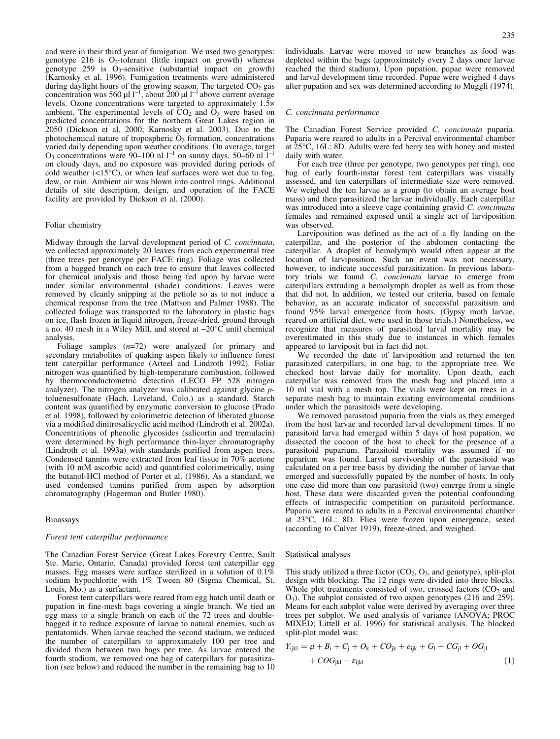and were in their third year of fumigation. We used two genotypes: genotype 216 is  $O_3$ -tolerant (little impact on growth) whereas genotype 259 is  $O_3$ -sensitive (substantial impact on growth) (Karnosky et al. 1996). Fumigation treatments were administered during daylight hours of the growing season. The targeted  $CO<sub>2</sub>$  gas concentration was 560  $\mu$ l l<sup>-1</sup>, about 200  $\mu$ l l<sup>-1</sup> above current average levels. Ozone concentrations were targeted to approximately 1.5x ambient. The experimental levels of  $CO<sub>2</sub>$  and  $O<sub>3</sub>$  were based on predicted concentrations for the northern Great Lakes region in 2050 (Dickson et al. 2000; Karnosky et al. 2003). Due to the photochemical nature of tropospheric  $\dot{O}_3$  formation, concentrations varied daily depending upon weather conditions. On average, target  $O_3$  concentrations were 90–100 nl l<sup>-1</sup> on sunny days, 50–60 nl l<sup>-1</sup> on cloudy days, and no exposure was provided during periods of cold weather  $(\langle 15^{\circ} \text{C} \rangle)$ , or when leaf surfaces were wet due to fog, dew, or rain. Ambient air was blown into control rings. Additional details of site description, design, and operation of the FACE facility are provided by Dickson et al. (2000).

#### Foliar chemistry

Midway through the larval development period of C. concinnata, we collected approximately 20 leaves from each experimental tree (three trees per genotype per FACE ring). Foliage was collected from a bagged branch on each tree to ensure that leaves collected for chemical analysis and those being fed upon by larvae were under similar environmental (shade) conditions. Leaves were removed by cleanly snipping at the petiole so as to not induce a chemical response from the tree (Mattson and Palmer 1988). The collected foliage was transported to the laboratory in plastic bags on ice, flash frozen in liquid nitrogen, freeze-dried, ground through a no. 40 mesh in a Wiley Mill, and stored at  $-20^{\circ}$ C until chemical analysis.

Foliage samples  $(n=72)$  were analyzed for primary and secondary metabolites of quaking aspen likely to influence forest tent caterpillar performance (Arteel and Lindroth 1992). Foliar nitrogen was quantified by high-temperature combustion, followed by thermoconductometric detection (LECO FP 528 nitrogen analyzer). The nitrogen analyzer was calibrated against glycine ptoluenesulfonate (Hach, Loveland, Colo.) as a standard. Starch content was quantified by enzymatic conversion to glucose (Prado et al. 1998), followed by colorimetric detection of liberated glucose via a modified dinitrosalicyclic acid method (Lindroth et al. 2002a). Concentrations of phenolic glycosides (salicortin and tremulacin) were determined by high performance thin-layer chromatography (Lindroth et al. 1993a) with standards purified from aspen trees. Condensed tannins were extracted from leaf tissue in 70% acetone (with 10 mM ascorbic acid) and quantified colorimetrically, using the butanol-HCl method of Porter et al. (1986). As a standard, we used condensed tannins purified from aspen by adsorption chromatography (Hagerman and Butler 1980).

#### Bioassays

#### Forest tent caterpillar performance

The Canadian Forest Service (Great Lakes Forestry Centre, Sault Ste. Marie, Ontario, Canada) provided forest tent caterpillar egg masses. Egg masses were surface sterilized in a solution of 0.1% sodium hypochlorite with 1% Tween 80 (Sigma Chemical, St. Louis, Mo.) as a surfactant.

Forest tent caterpillars were reared from egg hatch until death or pupation in fine-mesh bags covering a single branch. We tied an egg mass to a single branch on each of the 72 trees and doublebagged it to reduce exposure of larvae to natural enemies, such as pentatomids. When larvae reached the second stadium, we reduced the number of caterpillars to approximately 100 per tree and divided them between two bags per tree. As larvae entered the fourth stadium, we removed one bag of caterpillars for parasitization (see below) and reduced the number in the remaining bag to 10 individuals. Larvae were moved to new branches as food was depleted within the bags (approximately every 2 days once larvae reached the third stadium). Upon pupation, pupae were removed and larval development time recorded. Pupae were weighed 4 days after pupation and sex was determined according to Muggli (1974).

#### C. concinnata performance

The Canadian Forest Service provided C. concinnata puparia. Puparia were reared to adults in a Percival environmental chamber at 25°C, 16L: 8D. Adults were fed berry tea with honey and misted daily with water.

For each tree (three per genotype, two genotypes per ring), one bag of early fourth-instar forest tent caterpillars was visually assessed, and ten caterpillars of intermediate size were removed. We weighed the ten larvae as a group (to obtain an average host mass) and then parasitized the larvae individually. Each caterpillar was introduced into a sleeve cage containing gravid C. concinnata females and remained exposed until a single act of larviposition was observed.

Larviposition was defined as the act of a fly landing on the caterpillar, and the posterior of the abdomen contacting the caterpillar. A droplet of hemolymph would often appear at the location of larviposition. Such an event was not necessary, however, to indicate successful parasitization. In previous laboratory trials we found C. concinnata larvae to emerge from caterpillars extruding a hemolymph droplet as well as from those that did not. In addition, we tested our criteria, based on female behavior, as an accurate indicator of successful parasitism and found 95% larval emergence from hosts. (Gypsy moth larvae, reared on artificial diet, were used in those trials.) Nonetheless, we recognize that measures of parasitoid larval mortality may be overestimated in this study due to instances in which females appeared to larviposit but in fact did not.

We recorded the date of larviposition and returned the ten parasitized caterpillars, in one bag, to the appropriate tree. We checked host larvae daily for mortality. Upon death, each caterpillar was removed from the mesh bag and placed into a 10 ml vial with a mesh top. The vials were kept on trees in a separate mesh bag to maintain existing environmental conditions under which the parasitoids were developing.

We removed parasitoid puparia from the vials as they emerged from the host larvae and recorded larval development times. If no parasitoid larva had emerged within 5 days of host pupation, we dissected the cocoon of the host to check for the presence of a parasitoid puparium. Parasitoid mortality was assumed if no puparium was found. Larval survivorship of the parasitoid was calculated on a per tree basis by dividing the number of larvae that emerged and successfully pupated by the number of hosts. In only one case did more than one parasitoid (two) emerge from a single host. These data were discarded given the potential confounding effects of intraspecific competition on parasitoid performance. Puparia were reared to adults in a Percival environmental chamber at 23C, 16L: 8D. Flies were frozen upon emergence, sexed (according to Culver 1919), freeze-dried, and weighed.

#### Statistical analyses

This study utilized a three factor  $(CO_2, O_3,$  and genotype), split-plot design with blocking. The 12 rings were divided into three blocks. Whole plot treatments consisted of two, crossed factors  $(CO<sub>2</sub>)$  and O3). The subplot consisted of two aspen genotypes (216 and 259). Means for each subplot value were derived by averaging over three trees per subplot. We used analysis of variance (ANOVA; PROC MIXED; Littell et al. 1996) for statistical analysis. The blocked split-plot model was:

$$
Y_{ijkl} = \mu + B_i + C_j + O_k + CO_{jk} + e_{ijk} + G_l + CG_{jl} + OG_{jl} + COG_{jkl} + \varepsilon_{ijkl}
$$
\n(1)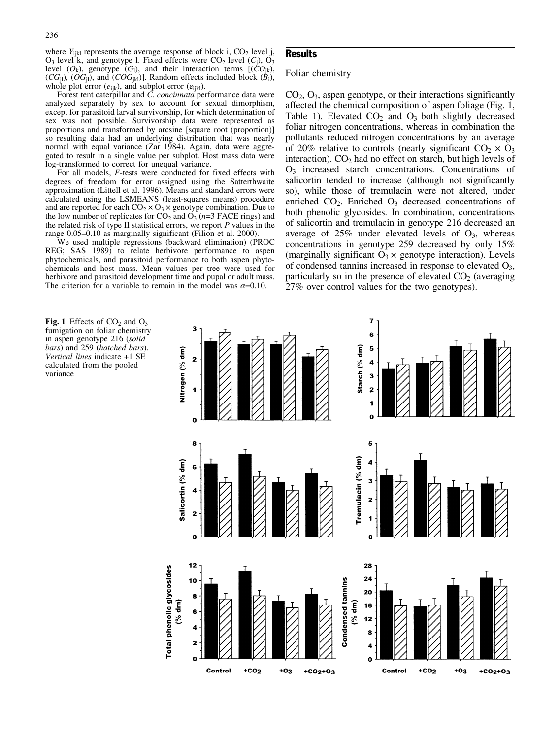where  $Y_{ijkl}$  represents the average response of block i,  $CO<sub>2</sub>$  level j,  $O_3$  level k, and genotype l. Fixed effects were  $CO_2$  level  $(C_i)$ ,  $O_3$ level  $(O_k)$ , genotype  $(G_l)$ , and their interaction terms  $[(CO_{ik})$ ,  $(CG_{\text{il}}), (OG_{\text{il}}),$  and  $(COG_{\text{ik}})$ ]. Random effects included block  $(B_{\text{i}}),$ whole plot error ( $e_{ijk}$ ), and subplot error ( $\varepsilon_{ijkl}$ ).

Forest tent caterpillar and *C. concinnata* performance data were analyzed separately by sex to account for sexual dimorphism, except for parasitoid larval survivorship, for which determination of sex was not possible. Survivorship data were represented as proportions and transformed by arcsine [square root (proportion)] so resulting data had an underlying distribution that was nearly normal with equal variance (Zar 1984). Again, data were aggregated to result in a single value per subplot. Host mass data were log-transformed to correct for unequal variance.

For all models, F-tests were conducted for fixed effects with degrees of freedom for error assigned using the Satterthwaite approximation (Littell et al. 1996). Means and standard errors were calculated using the LSMEANS (least-squares means) procedure and are reported for each  $CO_2 \times O_3 \times$  genotype combination. Due to the low number of replicates for  $CO_2$  and  $O_3(n=3$  FACE rings) and the related risk of type II statistical errors, we report  $P$  values in the range 0.05–0.10 as marginally significant (Filion et al. 2000).

We used multiple regressions (backward elimination) (PROC REG; SAS 1989) to relate herbivore performance to aspen phytochemicals, and parasitoid performance to both aspen phytochemicals and host mass. Mean values per tree were used for herbivore and parasitoid development time and pupal or adult mass. The criterion for a variable to remain in the model was  $\alpha$ =0.10.

# **Results**

## Foliar chemistry

 $CO<sub>2</sub>, O<sub>3</sub>$ , aspen genotype, or their interactions significantly affected the chemical composition of aspen foliage (Fig. 1, Table 1). Elevated  $CO<sub>2</sub>$  and  $O<sub>3</sub>$  both slightly decreased foliar nitrogen concentrations, whereas in combination the pollutants reduced nitrogen concentrations by an average of 20% relative to controls (nearly significant  $CO_2 \times O_3$ interaction).  $CO<sub>2</sub>$  had no effect on starch, but high levels of  $O<sub>3</sub>$  increased starch concentrations. Concentrations of salicortin tended to increase (although not significantly so), while those of tremulacin were not altered, under enriched  $CO<sub>2</sub>$ . Enriched  $O<sub>3</sub>$  decreased concentrations of both phenolic glycosides. In combination, concentrations of salicortin and tremulacin in genotype 216 decreased an average of  $25\%$  under elevated levels of  $O_3$ , whereas concentrations in genotype 259 decreased by only 15% (marginally significant  $O_3 \times$  genotype interaction). Levels of condensed tannins increased in response to elevated  $O_3$ , particularly so in the presence of elevated  $CO<sub>2</sub>$  (averaging 27% over control values for the two genotypes).

Fig. 1 Effects of  $CO<sub>2</sub>$  and  $O<sub>3</sub>$ fumigation on foliar chemistry in aspen genotype 216 (solid bars) and 259 (hatched bars). Vertical lines indicate +1 SE calculated from the pooled variance

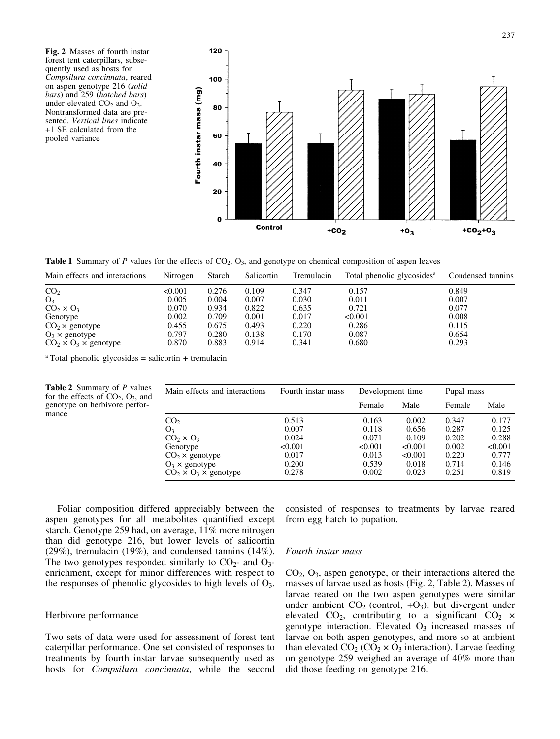Fig. 2 Masses of fourth instar forest tent caterpillars, subsequently used as hosts for Compsilura concinnata, reared on aspen genotype 216 (solid bars) and 259 (hatched bars) under elevated  $CO<sub>2</sub>$  and  $O<sub>3</sub>$ . Nontransformed data are presented. Vertical lines indicate +1 SE calculated from the pooled variance



**Table 1** Summary of P values for the effects of  $CO<sub>2</sub>$ ,  $O<sub>3</sub>$ , and genotype on chemical composition of aspen leaves

| Main effects and interactions   | Nitrogen | Starch | Salicortin | Tremulacin | Total phenolic glycosides <sup>a</sup> | Condensed tannins |
|---------------------------------|----------|--------|------------|------------|----------------------------------------|-------------------|
| CO <sub>2</sub>                 | < 0.001  | 0.276  | 0.109      | 0.347      | 0.157                                  | 0.849             |
| O <sub>3</sub>                  | 0.005    | 0.004  | 0.007      | 0.030      | 0.011                                  | 0.007             |
| $CO2 \times O3$                 | 0.070    | 0.934  | 0.822      | 0.635      | 0.721                                  | 0.077             |
| Genotype                        | 0.002    | 0.709  | 0.001      | 0.017      | < 0.001                                | 0.008             |
| $CO2 \times$ genotype           | 0.455    | 0.675  | 0.493      | 0.220      | 0.286                                  | 0.115             |
| $O_3 \times$ genotype           | 0.797    | 0.280  | 0.138      | 0.170      | 0.087                                  | 0.654             |
| $CO2 \times O3 \times$ genotype | 0.870    | 0.883  | 0.914      | 0.341      | 0.680                                  | 0.293             |

 $a$  Total phenolic glycosides = salicortin + tremulacin

Table 2 Summary of P values for the effects of  $CO<sub>2</sub>, O<sub>3</sub>$ , and genotype on herbivore performance

| Main effects and interactions     | Fourth instar mass | Development time |         | Pupal mass |         |
|-----------------------------------|--------------------|------------------|---------|------------|---------|
|                                   |                    | Female           | Male    | Female     | Male    |
| CO <sub>2</sub>                   | 0.513              | 0.163            | 0.002   | 0.347      | 0.177   |
| О3                                | 0.007              | 0.118            | 0.656   | 0.287      | 0.125   |
| $CO2 \times O3$                   | 0.024              | 0.071            | 0.109   | 0.202      | 0.288   |
| Genotype                          | < 0.001            | < 0.001          | < 0.001 | 0.002      | < 0.001 |
| $CO2 \times$ genotype             | 0.017              | 0.013            | < 0.001 | 0.220      | 0.777   |
| $O_3 \times$ genotype             | 0.200              | 0.539            | 0.018   | 0.714      | 0.146   |
| $CO_2 \times O_3 \times$ genotype | 0.278              | 0.002            | 0.023   | 0.251      | 0.819   |

Foliar composition differed appreciably between the aspen genotypes for all metabolites quantified except starch. Genotype 259 had, on average, 11% more nitrogen than did genotype 216, but lower levels of salicortin (29%), tremulacin (19%), and condensed tannins (14%). The two genotypes responded similarly to  $CO<sub>2</sub>$ - and  $O<sub>3</sub>$ enrichment, except for minor differences with respect to the responses of phenolic glycosides to high levels of  $O_3$ .

#### Herbivore performance

Two sets of data were used for assessment of forest tent caterpillar performance. One set consisted of responses to treatments by fourth instar larvae subsequently used as hosts for Compsilura concinnata, while the second

consisted of responses to treatments by larvae reared from egg hatch to pupation.

#### Fourth instar mass

 $CO<sub>2</sub>, O<sub>3</sub>$ , aspen genotype, or their interactions altered the masses of larvae used as hosts (Fig. 2, Table 2). Masses of larvae reared on the two aspen genotypes were similar under ambient  $CO<sub>2</sub>$  (control, +O<sub>3</sub>), but divergent under elevated  $CO_2$ , contributing to a significant  $CO_2 \times$ genotype interaction. Elevated  $O_3$  increased masses of larvae on both aspen genotypes, and more so at ambient than elevated  $CO_2$  ( $CO_2 \times O_3$  interaction). Larvae feeding on genotype 259 weighed an average of 40% more than did those feeding on genotype 216.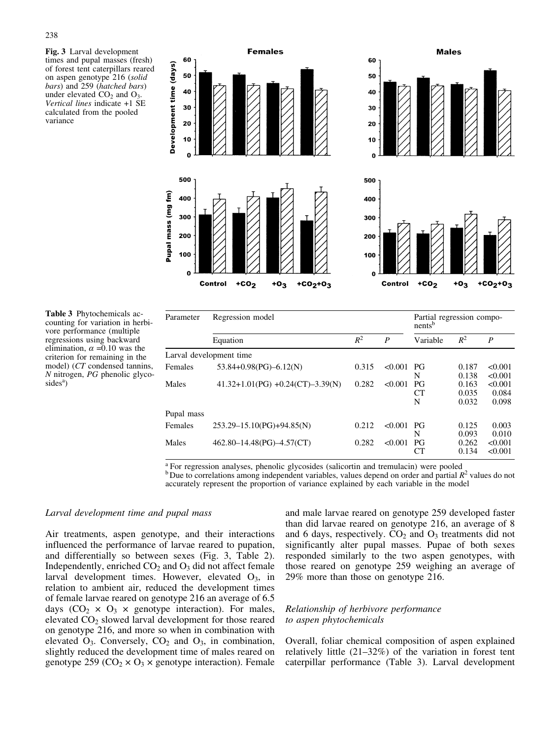Fig. 3 Larval development times and pupal masses (fresh) of forest tent caterpillars reared on aspen genotype 216 (solid bars) and 259 (hatched bars) under elevated  $CO<sub>2</sub>$  and  $O<sub>3</sub>$ . Vertical lines indicate +1 SE calculated from the pooled variance



Table 3 Phytochemicals accounting for variation in herbivore performance (multiple regressions using backward elimination,  $\alpha = 0.10$  was the criterion for remaining in the model) (CT condensed tannins, N nitrogen, PG phenolic glycosides<sup>a</sup>)

| Parameter  | Regression model                      | Partial regression compo-<br>nents <sup>b</sup> |                  |                |                         |                           |
|------------|---------------------------------------|-------------------------------------------------|------------------|----------------|-------------------------|---------------------------|
|            | Equation                              | $R^2$                                           | $\boldsymbol{P}$ | Variable       | $R^2$                   | $\boldsymbol{P}$          |
|            | Larval development time               |                                                 |                  |                |                         |                           |
| Females    | $53.84 + 0.98$ (PG) $-6.12$ (N)       | 0.315                                           | < 0.001          | <b>PG</b><br>N | 0.187<br>0.138          | < 0.001<br>< 0.001        |
| Males      | $41.32+1.01(PG) + 0.24(CT) - 3.39(N)$ | 0.282                                           | < 0.001          | PG<br>CT<br>N  | 0.163<br>0.035<br>0.032 | < 0.001<br>0.084<br>0.098 |
| Pupal mass |                                       |                                                 |                  |                |                         |                           |
| Females    | $253.29 - 15.10(PG) + 94.85(N)$       | 0.212                                           | < 0.001          | PG<br>N        | 0.125<br>0.093          | 0.003<br>0.010            |
| Males      | 462.80-14.48(PG)-4.57(CT)             | 0.282                                           | < 0.001          | PG<br>CT       | 0.262<br>0.134          | < 0.001<br>< 0.001        |

<sup>a</sup> For regression analyses, phenolic glycosides (salicortin and tremulacin) were pooled

 $\bar{b}$  Due to correlations among independent variables, values depend on order and partial  $R^2$  values do not accurately represent the proportion of variance explained by each variable in the model

## Larval development time and pupal mass

Air treatments, aspen genotype, and their interactions influenced the performance of larvae reared to pupation, and differentially so between sexes (Fig. 3, Table 2). Independently, enriched  $CO<sub>2</sub>$  and  $O<sub>3</sub>$  did not affect female larval development times. However, elevated  $O_3$ , in relation to ambient air, reduced the development times of female larvae reared on genotype 216 an average of 6.5 days  $(CO_2 \times O_3 \times$  genotype interaction). For males, elevated CO2 slowed larval development for those reared on genotype 216, and more so when in combination with elevated  $O_3$ . Conversely,  $CO_2$  and  $O_3$ , in combination, slightly reduced the development time of males reared on genotype 259 ( $CO_2 \times O_3 \times$  genotype interaction). Female

and male larvae reared on genotype 259 developed faster than did larvae reared on genotype 216, an average of 8 and 6 days, respectively.  $CO<sub>2</sub>$  and  $O<sub>3</sub>$  treatments did not significantly alter pupal masses. Pupae of both sexes responded similarly to the two aspen genotypes, with those reared on genotype 259 weighing an average of 29% more than those on genotype 216.

## Relationship of herbivore performance to aspen phytochemicals

Overall, foliar chemical composition of aspen explained relatively little (21–32%) of the variation in forest tent caterpillar performance (Table 3). Larval development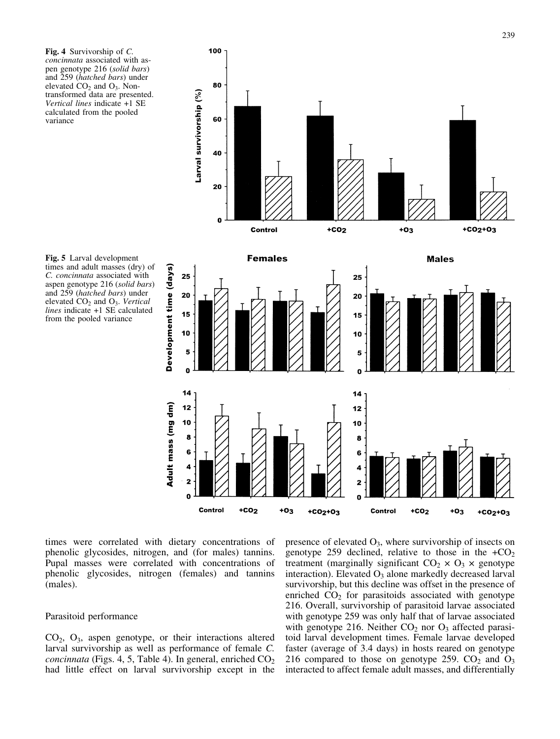Fig. 4 Survivorship of C. concinnata associated with aspen genotype 216 (solid bars) and 259 (hatched bars) under elevated  $CO<sub>2</sub>$  and  $O<sub>3</sub>$ . Nontransformed data are presented. Vertical lines indicate +1 SE calculated from the pooled variance

100

80

Fig. 5 Larval development times and adult masses (dry) of C. concinnata associated with aspen genotype 216 (solid bars) and 259 (hatched bars) under elevated  $CO<sub>2</sub>$  and  $O<sub>3</sub>$ . Vertical lines indicate +1 SE calculated from the pooled variance



times were correlated with dietary concentrations of phenolic glycosides, nitrogen, and (for males) tannins. Pupal masses were correlated with concentrations of phenolic glycosides, nitrogen (females) and tannins (males).

 $+CO<sub>2</sub>$ 

Control

 $+<sub>o<sub>3</sub></sub>$ 

+CO<sub>2</sub>+O<sub>3</sub>

## Parasitoid performance

CO2, O3, aspen genotype, or their interactions altered larval survivorship as well as performance of female C. concinnata (Figs. 4, 5, Table 4). In general, enriched  $CO<sub>2</sub>$ had little effect on larval survivorship except in the

presence of elevated  $O_3$ , where survivorship of insects on genotype 259 declined, relative to those in the  $+CO<sub>2</sub>$ treatment (marginally significant  $CO_2 \times O_3 \times$  genotype interaction). Elevated  $O_3$  alone markedly decreased larval survivorship, but this decline was offset in the presence of enriched  $CO<sub>2</sub>$  for parasitoids associated with genotype 216. Overall, survivorship of parasitoid larvae associated with genotype 259 was only half that of larvae associated with genotype 216. Neither  $CO<sub>2</sub>$  nor  $O<sub>3</sub>$  affected parasitoid larval development times. Female larvae developed faster (average of 3.4 days) in hosts reared on genotype 216 compared to those on genotype 259.  $CO<sub>2</sub>$  and  $O<sub>3</sub>$ interacted to affect female adult masses, and differentially

Control

 $+CO<sub>2</sub>$ 

 $+<sub>0<sub>3</sub></sub>$ 

+CO<sub>2</sub>+O<sub>3</sub>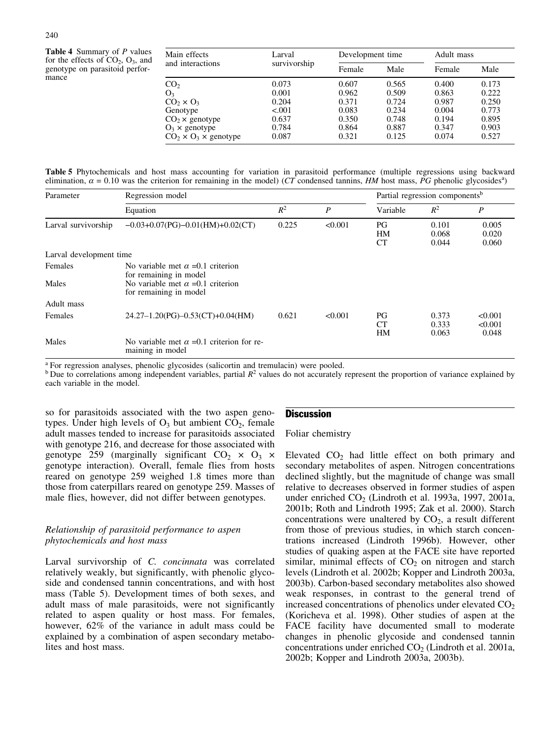Table 4 Summary of P values for the effects of  $CO<sub>2</sub>, O<sub>3</sub>$ , and genotype on parasitoid performance

| Main effects                      | Larval       | Development time |       | Adult mass |       |  |
|-----------------------------------|--------------|------------------|-------|------------|-------|--|
| and interactions                  | survivorship | Female           | Male  | Female     | Male  |  |
| CO <sub>2</sub>                   | 0.073        | 0.607            | 0.565 | 0.400      | 0.173 |  |
| O <sub>3</sub>                    | 0.001        | 0.962            | 0.509 | 0.863      | 0.222 |  |
| $CO2 \times O3$                   | 0.204        | 0.371            | 0.724 | 0.987      | 0.250 |  |
| Genotype                          | < 0.001      | 0.083            | 0.234 | 0.004      | 0.773 |  |
| $CO2 \times$ genotype             | 0.637        | 0.350            | 0.748 | 0.194      | 0.895 |  |
| $O_3 \times$ genotype             | 0.784        | 0.864            | 0.887 | 0.347      | 0.903 |  |
| $CO_2 \times O_3 \times$ genotype | 0.087        | 0.321            | 0.125 | 0.074      | 0.527 |  |

Table 5 Phytochemicals and host mass accounting for variation in parasitoid performance (multiple regressions using backward elimination,  $\alpha = 0.10$  was the criterion for remaining in the model) (CT condensed tannins, HM host mass, PG phenolic glycosides<sup>a</sup>)

| Parameter               | Regression model                                                                                                                         | Partial regression components <sup>b</sup> |                  |                       |                         |                             |
|-------------------------|------------------------------------------------------------------------------------------------------------------------------------------|--------------------------------------------|------------------|-----------------------|-------------------------|-----------------------------|
|                         | Equation                                                                                                                                 | $R^2$                                      | $\boldsymbol{P}$ | Variable              | $R^2$                   | $\boldsymbol{P}$            |
| Larval survivorship     | $-0.03+0.07(PG)-0.01(HM)+0.02(CT)$                                                                                                       | 0.225                                      | < 0.001          | PG<br>HM<br>CT        | 0.101<br>0.068<br>0.044 | 0.005<br>0.020<br>0.060     |
| Larval development time |                                                                                                                                          |                                            |                  |                       |                         |                             |
| Females<br>Males        | No variable met $\alpha = 0.1$ criterion<br>for remaining in model<br>No variable met $\alpha = 0.1$ criterion<br>for remaining in model |                                            |                  |                       |                         |                             |
| Adult mass              |                                                                                                                                          |                                            |                  |                       |                         |                             |
| Females                 | $24.27 - 1.20$ (PG) $-0.53$ (CT) $+0.04$ (HM)                                                                                            | 0.621                                      | < 0.001          | PG<br><b>CT</b><br>HM | 0.373<br>0.333<br>0.063 | < 0.001<br>< 0.001<br>0.048 |
| Males                   | No variable met $\alpha = 0.1$ criterion for re-<br>maining in model                                                                     |                                            |                  |                       |                         |                             |

<sup>a</sup> For regression analyses, phenolic glycosides (salicortin and tremulacin) were pooled.

 $\overline{b}$  Due to correlations among independent variables, partial  $R^2$  values do not accurately represent the proportion of variance explained by each variable in the model.

so for parasitoids associated with the two aspen genotypes. Under high levels of  $O_3$  but ambient  $CO_2$ , female adult masses tended to increase for parasitoids associated with genotype 216, and decrease for those associated with genotype 259 (marginally significant  $CO_2 \times O_3 \times$ genotype interaction). Overall, female flies from hosts reared on genotype 259 weighed 1.8 times more than those from caterpillars reared on genotype 259. Masses of male flies, however, did not differ between genotypes.

# Relationship of parasitoid performance to aspen phytochemicals and host mass

Larval survivorship of C. concinnata was correlated relatively weakly, but significantly, with phenolic glycoside and condensed tannin concentrations, and with host mass (Table 5). Development times of both sexes, and adult mass of male parasitoids, were not significantly related to aspen quality or host mass. For females, however, 62% of the variance in adult mass could be explained by a combination of aspen secondary metabolites and host mass.

#### **Discussion**

## Foliar chemistry

Elevated  $CO<sub>2</sub>$  had little effect on both primary and secondary metabolites of aspen. Nitrogen concentrations declined slightly, but the magnitude of change was small relative to decreases observed in former studies of aspen under enriched  $CO<sub>2</sub>$  (Lindroth et al. 1993a, 1997, 2001a, 2001b; Roth and Lindroth 1995; Zak et al. 2000). Starch concentrations were unaltered by  $CO<sub>2</sub>$ , a result different from those of previous studies, in which starch concentrations increased (Lindroth 1996b). However, other studies of quaking aspen at the FACE site have reported similar, minimal effects of  $CO<sub>2</sub>$  on nitrogen and starch levels (Lindroth et al. 2002b; Kopper and Lindroth 2003a, 2003b). Carbon-based secondary metabolites also showed weak responses, in contrast to the general trend of increased concentrations of phenolics under elevated  $CO<sub>2</sub>$ (Koricheva et al. 1998). Other studies of aspen at the FACE facility have documented small to moderate changes in phenolic glycoside and condensed tannin concentrations under enriched  $CO<sub>2</sub>$  (Lindroth et al. 2001a, 2002b; Kopper and Lindroth 2003a, 2003b).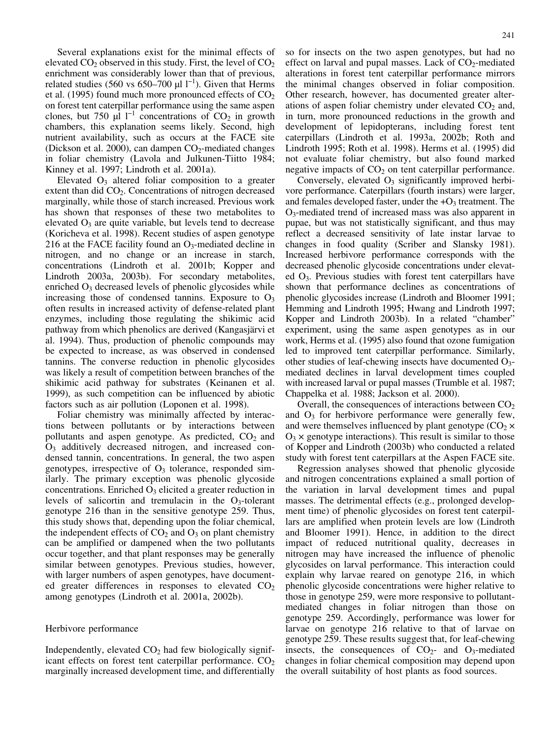241

Several explanations exist for the minimal effects of elevated  $CO_2$  observed in this study. First, the level of  $CO_2$ enrichment was considerably lower than that of previous, related studies (560 vs 650–700  $\mu$ l l<sup>-1</sup>). Given that Herms et al. (1995) found much more pronounced effects of  $CO<sub>2</sub>$ on forest tent caterpillar performance using the same aspen clones, but 750  $\mu$ l l<sup>-1</sup> concentrations of CO<sub>2</sub> in growth chambers, this explanation seems likely. Second, high nutrient availability, such as occurs at the FACE site (Dickson et al. 2000), can dampen  $CO<sub>2</sub>$ -mediated changes in foliar chemistry (Lavola and Julkunen-Tiitto 1984; Kinney et al. 1997; Lindroth et al. 2001a).

Elevated  $O_3$  altered foliar composition to a greater extent than did  $CO<sub>2</sub>$ . Concentrations of nitrogen decreased marginally, while those of starch increased. Previous work has shown that responses of these two metabolites to elevated  $O_3$  are quite variable, but levels tend to decrease (Koricheva et al. 1998). Recent studies of aspen genotype 216 at the FACE facility found an  $O_3$ -mediated decline in nitrogen, and no change or an increase in starch, concentrations (Lindroth et al. 2001b; Kopper and Lindroth 2003a, 2003b). For secondary metabolites, enriched  $O_3$  decreased levels of phenolic glycosides while increasing those of condensed tannins. Exposure to  $O_3$ often results in increased activity of defense-related plant enzymes, including those regulating the shikimic acid pathway from which phenolics are derived (Kangasjärvi et al. 1994). Thus, production of phenolic compounds may be expected to increase, as was observed in condensed tannins. The converse reduction in phenolic glycosides was likely a result of competition between branches of the shikimic acid pathway for substrates (Keinanen et al. 1999), as such competition can be influenced by abiotic factors such as air pollution (Loponen et al. 1998).

Foliar chemistry was minimally affected by interactions between pollutants or by interactions between pollutants and aspen genotype. As predicted,  $CO<sub>2</sub>$  and O3 additively decreased nitrogen, and increased condensed tannin, concentrations. In general, the two aspen genotypes, irrespective of  $O_3$  tolerance, responded similarly. The primary exception was phenolic glycoside concentrations. Enriched  $O_3$  elicited a greater reduction in levels of salicortin and tremulacin in the  $O_3$ -tolerant genotype 216 than in the sensitive genotype 259. Thus, this study shows that, depending upon the foliar chemical, the independent effects of  $CO<sub>2</sub>$  and  $O<sub>3</sub>$  on plant chemistry can be amplified or dampened when the two pollutants occur together, and that plant responses may be generally similar between genotypes. Previous studies, however, with larger numbers of aspen genotypes, have documented greater differences in responses to elevated  $CO<sub>2</sub>$ among genotypes (Lindroth et al. 2001a, 2002b).

## Herbivore performance

Independently, elevated  $CO<sub>2</sub>$  had few biologically significant effects on forest tent caterpillar performance.  $CO<sub>2</sub>$ marginally increased development time, and differentially so for insects on the two aspen genotypes, but had no effect on larval and pupal masses. Lack of  $CO<sub>2</sub>$ -mediated alterations in forest tent caterpillar performance mirrors the minimal changes observed in foliar composition. Other research, however, has documented greater alterations of aspen foliar chemistry under elevated  $CO<sub>2</sub>$  and, in turn, more pronounced reductions in the growth and development of lepidopterans, including forest tent caterpillars (Lindroth et al. 1993a, 2002b; Roth and Lindroth 1995; Roth et al. 1998). Herms et al. (1995) did not evaluate foliar chemistry, but also found marked negative impacts of  $CO<sub>2</sub>$  on tent caterpillar performance.

Conversely, elevated  $O_3$  significantly improved herbivore performance. Caterpillars (fourth instars) were larger, and females developed faster, under the  $+O_3$  treatment. The  $O_3$ -mediated trend of increased mass was also apparent in pupae, but was not statistically significant, and thus may reflect a decreased sensitivity of late instar larvae to changes in food quality (Scriber and Slansky 1981). Increased herbivore performance corresponds with the decreased phenolic glycoside concentrations under elevated O3. Previous studies with forest tent caterpillars have shown that performance declines as concentrations of phenolic glycosides increase (Lindroth and Bloomer 1991; Hemming and Lindroth 1995; Hwang and Lindroth 1997; Kopper and Lindroth 2003b). In a related "chamber" experiment, using the same aspen genotypes as in our work, Herms et al. (1995) also found that ozone fumigation led to improved tent caterpillar performance. Similarly, other studies of leaf-chewing insects have documented  $O_3$ mediated declines in larval development times coupled with increased larval or pupal masses (Trumble et al. 1987; Chappelka et al. 1988; Jackson et al. 2000).

Overall, the consequences of interactions between  $CO<sub>2</sub>$ and  $O_3$  for herbivore performance were generally few, and were themselves influenced by plant genotype  $(CO<sub>2</sub> \times$  $O_3 \times$  genotype interactions). This result is similar to those of Kopper and Lindroth (2003b) who conducted a related study with forest tent caterpillars at the Aspen FACE site.

Regression analyses showed that phenolic glycoside and nitrogen concentrations explained a small portion of the variation in larval development times and pupal masses. The detrimental effects (e.g., prolonged development time) of phenolic glycosides on forest tent caterpillars are amplified when protein levels are low (Lindroth and Bloomer 1991). Hence, in addition to the direct impact of reduced nutritional quality, decreases in nitrogen may have increased the influence of phenolic glycosides on larval performance. This interaction could explain why larvae reared on genotype 216, in which phenolic glycoside concentrations were higher relative to those in genotype 259, were more responsive to pollutantmediated changes in foliar nitrogen than those on genotype 259. Accordingly, performance was lower for larvae on genotype 216 relative to that of larvae on genotype 259. These results suggest that, for leaf-chewing insects, the consequences of  $CO<sub>2</sub>$ - and  $O<sub>3</sub>$ -mediated changes in foliar chemical composition may depend upon the overall suitability of host plants as food sources.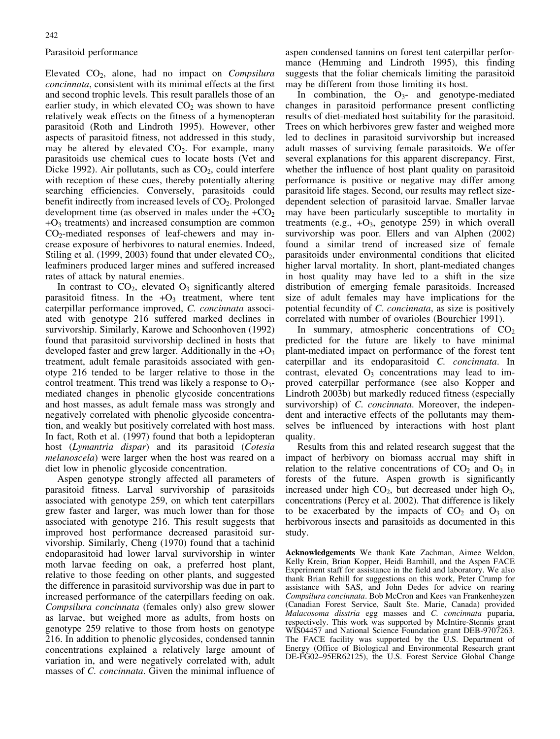# Parasitoid performance

Elevated CO2, alone, had no impact on Compsilura concinnata, consistent with its minimal effects at the first and second trophic levels. This result parallels those of an earlier study, in which elevated  $CO<sub>2</sub>$  was shown to have relatively weak effects on the fitness of a hymenopteran parasitoid (Roth and Lindroth 1995). However, other aspects of parasitoid fitness, not addressed in this study, may be altered by elevated  $CO<sub>2</sub>$ . For example, many parasitoids use chemical cues to locate hosts (Vet and Dicke 1992). Air pollutants, such as  $CO<sub>2</sub>$ , could interfere with reception of these cues, thereby potentially altering searching efficiencies. Conversely, parasitoids could benefit indirectly from increased levels of CO<sub>2</sub>. Prolonged development time (as observed in males under the  $+CO<sub>2</sub>$  $+O<sub>3</sub>$  treatments) and increased consumption are common  $CO<sub>2</sub>$ -mediated responses of leaf-chewers and may increase exposure of herbivores to natural enemies. Indeed, Stiling et al. (1999, 2003) found that under elevated  $CO<sub>2</sub>$ , leafminers produced larger mines and suffered increased rates of attack by natural enemies.

In contrast to  $CO<sub>2</sub>$ , elevated  $O<sub>3</sub>$  significantly altered parasitoid fitness. In the  $+O_3$  treatment, where tent caterpillar performance improved, C. concinnata associated with genotype 216 suffered marked declines in survivorship. Similarly, Karowe and Schoonhoven (1992) found that parasitoid survivorship declined in hosts that developed faster and grew larger. Additionally in the  $+O_3$ treatment, adult female parasitoids associated with genotype 216 tended to be larger relative to those in the control treatment. This trend was likely a response to  $O_3$ mediated changes in phenolic glycoside concentrations and host masses, as adult female mass was strongly and negatively correlated with phenolic glycoside concentration, and weakly but positively correlated with host mass. In fact, Roth et al. (1997) found that both a lepidopteran host (Lymantria dispar) and its parasitoid (Cotesia melanoscela) were larger when the host was reared on a diet low in phenolic glycoside concentration.

Aspen genotype strongly affected all parameters of parasitoid fitness. Larval survivorship of parasitoids associated with genotype 259, on which tent caterpillars grew faster and larger, was much lower than for those associated with genotype 216. This result suggests that improved host performance decreased parasitoid survivorship. Similarly, Cheng (1970) found that a tachinid endoparasitoid had lower larval survivorship in winter moth larvae feeding on oak, a preferred host plant, relative to those feeding on other plants, and suggested the difference in parasitoid survivorship was due in part to increased performance of the caterpillars feeding on oak. Compsilura concinnata (females only) also grew slower as larvae, but weighed more as adults, from hosts on genotype 259 relative to those from hosts on genotype 216. In addition to phenolic glycosides, condensed tannin concentrations explained a relatively large amount of variation in, and were negatively correlated with, adult masses of C. concinnata. Given the minimal influence of

aspen condensed tannins on forest tent caterpillar performance (Hemming and Lindroth 1995), this finding suggests that the foliar chemicals limiting the parasitoid may be different from those limiting its host.

In combination, the  $O_{3}$ - and genotype-mediated changes in parasitoid performance present conflicting results of diet-mediated host suitability for the parasitoid. Trees on which herbivores grew faster and weighed more led to declines in parasitoid survivorship but increased adult masses of surviving female parasitoids. We offer several explanations for this apparent discrepancy. First, whether the influence of host plant quality on parasitoid performance is positive or negative may differ among parasitoid life stages. Second, our results may reflect sizedependent selection of parasitoid larvae. Smaller larvae may have been particularly susceptible to mortality in treatments (e.g.,  $+O_3$ , genotype 259) in which overall survivorship was poor. Ellers and van Alphen (2002) found a similar trend of increased size of female parasitoids under environmental conditions that elicited higher larval mortality. In short, plant-mediated changes in host quality may have led to a shift in the size distribution of emerging female parasitoids. Increased size of adult females may have implications for the potential fecundity of C. concinnata, as size is positively correlated with number of ovarioles (Bourchier 1991).

In summary, atmospheric concentrations of  $CO<sub>2</sub>$ predicted for the future are likely to have minimal plant-mediated impact on performance of the forest tent caterpillar and its endoparasitoid C. concinnata. In contrast, elevated  $O_3$  concentrations may lead to improved caterpillar performance (see also Kopper and Lindroth 2003b) but markedly reduced fitness (especially survivorship) of *C. concinnata*. Moreover, the independent and interactive effects of the pollutants may themselves be influenced by interactions with host plant quality.

Results from this and related research suggest that the impact of herbivory on biomass accrual may shift in relation to the relative concentrations of  $CO<sub>2</sub>$  and  $O<sub>3</sub>$  in forests of the future. Aspen growth is significantly increased under high  $CO<sub>2</sub>$ , but decreased under high  $O<sub>3</sub>$ , concentrations (Percy et al. 2002). That difference is likely to be exacerbated by the impacts of  $CO<sub>2</sub>$  and  $O<sub>3</sub>$  on herbivorous insects and parasitoids as documented in this study.

Acknowledgements We thank Kate Zachman, Aimee Weldon, Kelly Krein, Brian Kopper, Heidi Barnhill, and the Aspen FACE Experiment staff for assistance in the field and laboratory. We also thank Brian Rehill for suggestions on this work, Peter Crump for assistance with SAS, and John Dedes for advice on rearing Compsilura concinnata. Bob McCron and Kees van Frankenheyzen (Canadian Forest Service, Sault Ste. Marie, Canada) provided Malacosoma disstria egg masses and C. concinnata puparia, respectively. This work was supported by McIntire-Stennis grant WIS04457 and National Science Foundation grant DEB-9707263. The FACE facility was supported by the U.S. Department of Energy (Office of Biological and Environmental Research grant DE-FG02–95ER62125), the U.S. Forest Service Global Change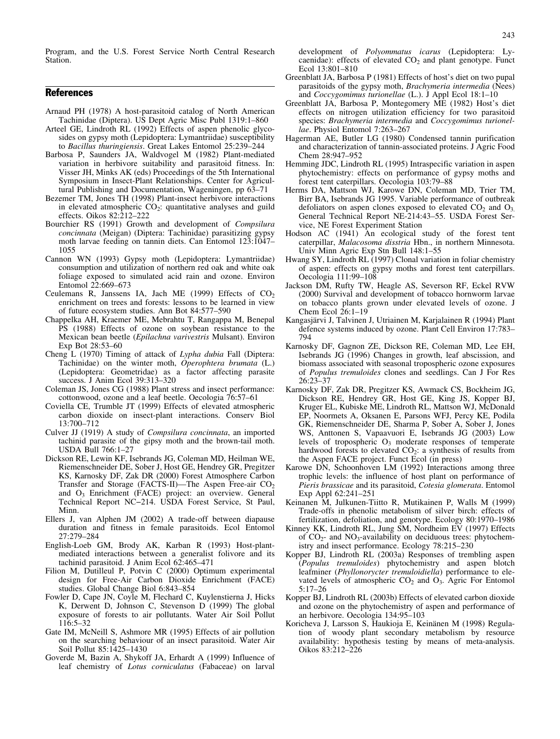Program, and the U.S. Forest Service North Central Research Station.

## References

- Arnaud PH (1978) A host-parasitoid catalog of North American Tachinidae (Diptera). US Dept Agric Misc Publ 1319:1–860
- Arteel GE, Lindroth RL (1992) Effects of aspen phenolic glycosides on gypsy moth (Lepidoptera: Lymantriidae) susceptibility to Bacillus thuringiensis. Great Lakes Entomol 25:239–244
- Barbosa P, Saunders JA, Waldvogel M (1982) Plant-mediated variation in herbivore suitability and parasitoid fitness. In: Visser JH, Minks AK (eds) Proceedings of the 5th International Symposium in Insect-Plant Relationships. Center for Agricultural Publishing and Documentation, Wageningen, pp 63–71
- Bezemer TM, Jones TH (1998) Plant-insect herbivore interactions in elevated atmospheric  $CO<sub>2</sub>$ : quantitative analyses and guild effects. Oikos 82:212–222
- Bourchier RS (1991) Growth and development of Compsilura concinnata (Meigan) (Diptera: Tachinidae) parasitizing gypsy moth larvae feeding on tannin diets. Can Entomol 123:1047– 1055
- Cannon WN (1993) Gypsy moth (Lepidoptera: Lymantriidae) consumption and utilization of northern red oak and white oak foliage exposed to simulated acid rain and ozone. Environ Entomol 22:669–673
- Ceulemans R, Janssens IA, Jach ME (1999) Effects of  $CO<sub>2</sub>$ enrichment on trees and forests: lessons to be learned in view of future ecosystem studies. Ann Bot 84:577–590
- Chappelka AH, Kraemer ME, Mebrahtu T, Rangappa M, Benepal PS (1988) Effects of ozone on soybean resistance to the Mexican bean beetle (Epilachna varivestris Mulsant). Environ Exp Bot 28:53–60
- Cheng L (1970) Timing of attack of Lypha dubia Fall (Diptera: Tachinidae) on the winter moth, Operophtera brumata (L.) (Lepidoptera: Geometridae) as a factor affecting parasite success. J Anim Ecol 39:313–320
- Coleman JS, Jones CG (1988) Plant stress and insect performance: cottonwood, ozone and a leaf beetle. Oecologia 76:57–61
- Coviella CE, Trumble JT (1999) Effects of elevated atmospheric carbon dioxide on insect-plant interactions. Conserv Biol 13:700–712
- Culver JJ (1919) A study of Compsilura concinnata, an imported tachinid parasite of the gipsy moth and the brown-tail moth. USDA Bull 766:1–27
- Dickson RE, Lewin KF, Isebrands JG, Coleman MD, Heilman WE, Riemenschneider DE, Sober J, Host GE, Hendrey GR, Pregitzer KS, Karnosky DF, Zak DR (2000) Forest Atmosphere Carbon Transfer and Storage (FACTS-II)—The Aspen Free-air  $CO<sub>2</sub>$ and O3 Enrichment (FACE) project: an overview. General Technical Report NC-214. USDA Forest Service, St Paul, Minn.
- Ellers J, van Alphen JM (2002) A trade-off between diapause duration and fitness in female parasitoids. Ecol Entomol 27:279–284
- English-Loeb GM, Brody AK, Karban R (1993) Host-plantmediated interactions between a generalist folivore and its tachinid parasitoid. J Anim Ecol 62:465–471
- Filion M, Dutilleul P, Potvin C (2000) Optimum experimental design for Free-Air Carbon Dioxide Enrichment (FACE) studies. Global Change Biol 6:843–854
- Fowler D, Cape JN, Coyle M, Flechard C, Kuylenstierna J, Hicks K, Derwent D, Johnson C, Stevenson D (1999) The global exposure of forests to air pollutants. Water Air Soil Pollut 116:5–32
- Gate IM, McNeill S, Ashmore MR (1995) Effects of air pollution on the searching behaviour of an insect parasitoid. Water Air Soil Pollut 85:1425–1430
- Goverde M, Bazin A, Shykoff JA, Erhardt A (1999) Influence of leaf chemistry of Lotus corniculatus (Fabaceae) on larval

development of Polyommatus icarus (Lepidoptera: Lycaenidae): effects of elevated  $CO<sub>2</sub>$  and plant genotype. Funct Ecol 13:801–810

- Greenblatt JA, Barbosa P (1981) Effects of host's diet on two pupal parasitoids of the gypsy moth, Brachymeria intermedia (Nees) and Coccygomimus turionellae (L.). J Appl Ecol 18:1–10
- Greenblatt JA, Barbosa P, Montegomery ME (1982) Host's diet effects on nitrogen utilization efficiency for two parasitoid species: Brachymeria intermedia and Coccygomimus turionellae. Physiol Entomol 7:263–267
- Hagerman AE, Butler LG (1980) Condensed tannin purification and characterization of tannin-associated proteins. J Agric Food Chem 28:947–952
- Hemming JDC, Lindroth RL (1995) Intraspecific variation in aspen phytochemistry: effects on performance of gypsy moths and forest tent caterpillars. Oecologia 103:79–88
- Herms DA, Mattson WJ, Karowe DN, Coleman MD, Trier TM, Birr BA, Isebrands JG 1995. Variable performance of outbreak defoliators on aspen clones exposed to elevated  $CO<sub>2</sub>$  and  $O<sub>3</sub>$ . General Technical Report NE-214:43–55. USDA Forest Service, NE Forest Experiment Station
- Hodson AC (1941) An ecological study of the forest tent caterpillar, Malacosoma disstria Hbn., in northern Minnesota. Univ Minn Agric Exp Stn Bull 148:1–55
- Hwang SY, Lindroth RL (1997) Clonal variation in foliar chemistry of aspen: effects on gypsy moths and forest tent caterpillars. Oecologia 111:99–108
- Jackson DM, Rufty TW, Heagle AS, Severson RF, Eckel RVW (2000) Survival and development of tobacco hornworm larvae on tobacco plants grown under elevated levels of ozone. J Chem Ecol 26:1–19
- Kangasjärvi J, Talvinen J, Utriainen M, Karjalainen R (1994) Plant defence systems induced by ozone. Plant Cell Environ 17:783– 794
- Karnosky DF, Gagnon ZE, Dickson RE, Coleman MD, Lee EH, Isebrands JG (1996) Changes in growth, leaf abscission, and biomass associated with seasonal tropospheric ozone exposures of Populus tremuloides clones and seedlings. Can J For Res 26:23–37
- Karnosky DF, Zak DR, Pregitzer KS, Awmack CS, Bockheim JG, Dickson RE, Hendrey GR, Host GE, King JS, Kopper BJ, Kruger EL, Kubiske ME, Lindroth RL, Mattson WJ, McDonald EP, Noormets A, Oksanen E, Parsons WFJ, Percy KE, Podila GK, Riemenschneider DE, Sharma P, Sober A, Sober J, Jones WS, Anttonen S, Vapaavuori E, Isebrands JG (2003) Low levels of tropospheric  $O_3$  moderate responses of temperate hardwood forests to elevated  $CO<sub>2</sub>$ : a synthesis of results from the Aspen FACE project. Funct Ecol (in press)
- Karowe DN, Schoonhoven LM (1992) Interactions among three trophic levels: the influence of host plant on performance of Pieris brassicae and its parasitoid, Cotesia glomerata. Entomol Exp Appl 62:241–251
- Keinanen M, Julkunen-Tiitto R, Mutikainen P, Walls M (1999) Trade-offs in phenolic metabolism of silver birch: effects of fertilization, defoliation, and genotype. Ecology 80:1970–1986
- Kinney KK, Lindroth RL, Jung SM, Nordheim EV (1997) Effects of  $CO<sub>2</sub>$ - and NO<sub>3</sub>-availability on deciduous trees: phytochemistry and insect performance. Ecology 78:215–230
- Kopper BJ, Lindroth RL (2003a) Responses of trembling aspen (Populus tremuloides) phytochemistry and aspen blotch leafminer (Phyllonorycter tremuloidiella) performance to elevated levels of atmospheric  $CO<sub>2</sub>$  and  $O<sub>3</sub>$ . Agric For Entomol 5:17–26
- Kopper BJ, Lindroth RL (2003b) Effects of elevated carbon dioxide and ozone on the phytochemistry of aspen and performance of an herbivore. Oecologia 134:95–103
- Koricheva J, Larsson S, Haukioja E, Keinänen M (1998) Regulation of woody plant secondary metabolism by resource availability: hypothesis testing by means of meta-analysis. Oikos 83:212–226